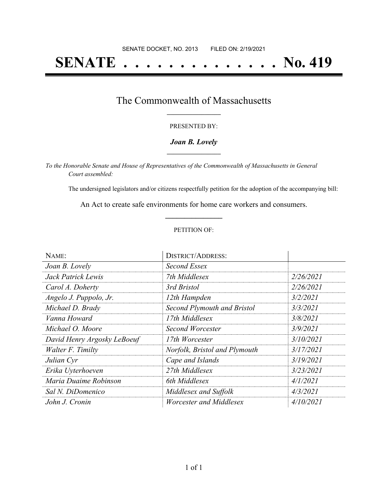# **SENATE . . . . . . . . . . . . . . No. 419**

### The Commonwealth of Massachusetts **\_\_\_\_\_\_\_\_\_\_\_\_\_\_\_\_\_**

#### PRESENTED BY:

#### *Joan B. Lovely* **\_\_\_\_\_\_\_\_\_\_\_\_\_\_\_\_\_**

*To the Honorable Senate and House of Representatives of the Commonwealth of Massachusetts in General Court assembled:*

The undersigned legislators and/or citizens respectfully petition for the adoption of the accompanying bill:

An Act to create safe environments for home care workers and consumers. **\_\_\_\_\_\_\_\_\_\_\_\_\_\_\_**

#### PETITION OF:

| NAME:                       | <b>DISTRICT/ADDRESS:</b>      |           |
|-----------------------------|-------------------------------|-----------|
| Joan B. Lovely              | Second Essex                  |           |
| Jack Patrick Lewis          | 7th Middlesex                 | 2/26/2021 |
| Carol A. Doherty            | 3rd Bristol                   | 2/26/2021 |
| Angelo J. Puppolo, Jr.      | 12th Hampden                  | 3/2/2021  |
| Michael D. Brady            | Second Plymouth and Bristol   | 3/3/2021  |
| Vanna Howard                | 17th Middlesex                | 3/8/2021  |
| Michael O. Moore            | Second Worcester              | 3/9/2021  |
| David Henry Argosky LeBoeuf | 17th Worcester                | 3/10/2021 |
| Walter F. Timilty           | Norfolk, Bristol and Plymouth | 3/17/2021 |
| Julian Cyr                  | Cape and Islands              | 3/19/2021 |
| Erika Uyterhoeven           | 27th Middlesex                | 3/23/2021 |
| Maria Duaime Robinson       | 6th Middlesex                 | 4/1/2021  |
| Sal N. DiDomenico           | Middlesex and Suffolk         | 4/3/2021  |
| John J. Cronin              | Worcester and Middlesex       | 4/10/2021 |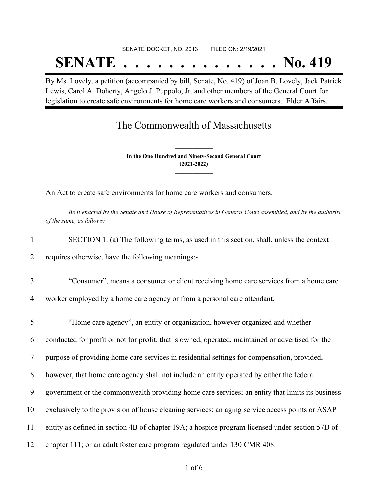# SENATE DOCKET, NO. 2013 FILED ON: 2/19/2021 **SENATE . . . . . . . . . . . . . . No. 419**

By Ms. Lovely, a petition (accompanied by bill, Senate, No. 419) of Joan B. Lovely, Jack Patrick Lewis, Carol A. Doherty, Angelo J. Puppolo, Jr. and other members of the General Court for legislation to create safe environments for home care workers and consumers. Elder Affairs.

## The Commonwealth of Massachusetts

**In the One Hundred and Ninety-Second General Court (2021-2022) \_\_\_\_\_\_\_\_\_\_\_\_\_\_\_**

**\_\_\_\_\_\_\_\_\_\_\_\_\_\_\_**

An Act to create safe environments for home care workers and consumers.

Be it enacted by the Senate and House of Representatives in General Court assembled, and by the authority *of the same, as follows:*

| SECTION 1. (a) The following terms, as used in this section, shall, unless the context |  |  |  |  |
|----------------------------------------------------------------------------------------|--|--|--|--|
|                                                                                        |  |  |  |  |

2 requires otherwise, have the following meanings:-

3 "Consumer", means a consumer or client receiving home care services from a home care

4 worker employed by a home care agency or from a personal care attendant.

 "Home care agency", an entity or organization, however organized and whether conducted for profit or not for profit, that is owned, operated, maintained or advertised for the purpose of providing home care services in residential settings for compensation, provided, however, that home care agency shall not include an entity operated by either the federal government or the commonwealth providing home care services; an entity that limits its business exclusively to the provision of house cleaning services; an aging service access points or ASAP entity as defined in section 4B of chapter 19A; a hospice program licensed under section 57D of chapter 111; or an adult foster care program regulated under 130 CMR 408.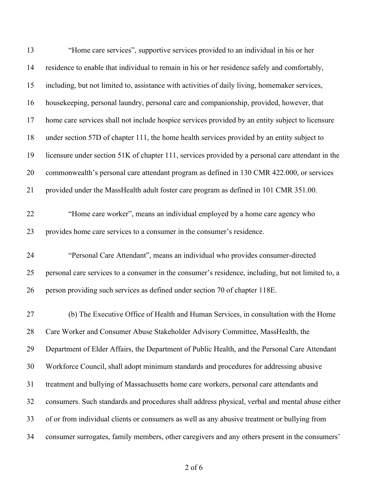| 13       | "Home care services", supportive services provided to an individual in his or her                                                                    |
|----------|------------------------------------------------------------------------------------------------------------------------------------------------------|
| 14       | residence to enable that individual to remain in his or her residence safely and comfortably,                                                        |
| 15       | including, but not limited to, assistance with activities of daily living, homemaker services,                                                       |
| 16       | housekeeping, personal laundry, personal care and companionship, provided, however, that                                                             |
| 17       | home care services shall not include hospice services provided by an entity subject to licensure                                                     |
| 18       | under section 57D of chapter 111, the home health services provided by an entity subject to                                                          |
| 19       | licensure under section 51K of chapter 111, services provided by a personal care attendant in the                                                    |
| 20       | commonwealth's personal care attendant program as defined in 130 CMR 422.000, or services                                                            |
| 21       | provided under the MassHealth adult foster care program as defined in 101 CMR 351.00.                                                                |
| 22<br>23 | "Home care worker", means an individual employed by a home care agency who<br>provides home care services to a consumer in the consumer's residence. |
|          |                                                                                                                                                      |
| 24       | "Personal Care Attendant", means an individual who provides consumer-directed                                                                        |
| 25       | personal care services to a consumer in the consumer's residence, including, but not limited to, a                                                   |
| 26       | person providing such services as defined under section 70 of chapter 118E.                                                                          |
| 27       | (b) The Executive Office of Health and Human Services, in consultation with the Home                                                                 |
| 28       | Care Worker and Consumer Abuse Stakeholder Advisory Committee, MassHealth, the                                                                       |
| 29       | Department of Elder Affairs, the Department of Public Health, and the Personal Care Attendant                                                        |
| 30       | Workforce Council, shall adopt minimum standards and procedures for addressing abusive                                                               |
| 31       | treatment and bullying of Massachusetts home care workers, personal care attendants and                                                              |
| 32       | consumers. Such standards and procedures shall address physical, verbal and mental abuse either                                                      |
|          |                                                                                                                                                      |
| 33       | of or from individual clients or consumers as well as any abusive treatment or bullying from                                                         |

of 6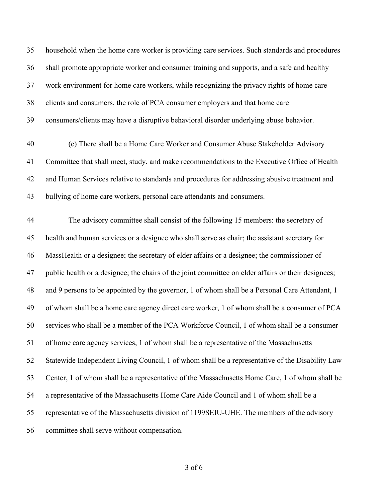household when the home care worker is providing care services. Such standards and procedures shall promote appropriate worker and consumer training and supports, and a safe and healthy work environment for home care workers, while recognizing the privacy rights of home care clients and consumers, the role of PCA consumer employers and that home care consumers/clients may have a disruptive behavioral disorder underlying abuse behavior.

 (c) There shall be a Home Care Worker and Consumer Abuse Stakeholder Advisory Committee that shall meet, study, and make recommendations to the Executive Office of Health and Human Services relative to standards and procedures for addressing abusive treatment and bullying of home care workers, personal care attendants and consumers.

 The advisory committee shall consist of the following 15 members: the secretary of health and human services or a designee who shall serve as chair; the assistant secretary for MassHealth or a designee; the secretary of elder affairs or a designee; the commissioner of public health or a designee; the chairs of the joint committee on elder affairs or their designees; and 9 persons to be appointed by the governor, 1 of whom shall be a Personal Care Attendant, 1 of whom shall be a home care agency direct care worker, 1 of whom shall be a consumer of PCA services who shall be a member of the PCA Workforce Council, 1 of whom shall be a consumer of home care agency services, 1 of whom shall be a representative of the Massachusetts Statewide Independent Living Council, 1 of whom shall be a representative of the Disability Law Center, 1 of whom shall be a representative of the Massachusetts Home Care, 1 of whom shall be a representative of the Massachusetts Home Care Aide Council and 1 of whom shall be a representative of the Massachusetts division of 1199SEIU-UHE. The members of the advisory committee shall serve without compensation.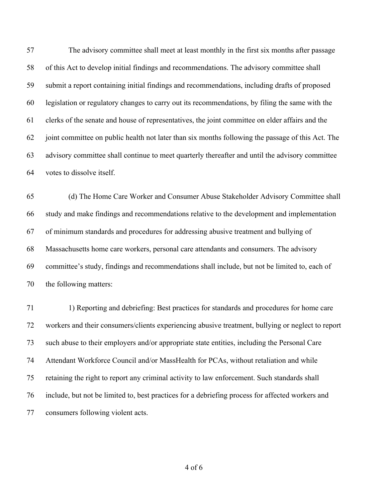The advisory committee shall meet at least monthly in the first six months after passage of this Act to develop initial findings and recommendations. The advisory committee shall submit a report containing initial findings and recommendations, including drafts of proposed legislation or regulatory changes to carry out its recommendations, by filing the same with the clerks of the senate and house of representatives, the joint committee on elder affairs and the joint committee on public health not later than six months following the passage of this Act. The advisory committee shall continue to meet quarterly thereafter and until the advisory committee votes to dissolve itself.

 (d) The Home Care Worker and Consumer Abuse Stakeholder Advisory Committee shall study and make findings and recommendations relative to the development and implementation of minimum standards and procedures for addressing abusive treatment and bullying of Massachusetts home care workers, personal care attendants and consumers. The advisory committee's study, findings and recommendations shall include, but not be limited to, each of the following matters:

 1) Reporting and debriefing: Best practices for standards and procedures for home care workers and their consumers/clients experiencing abusive treatment, bullying or neglect to report such abuse to their employers and/or appropriate state entities, including the Personal Care Attendant Workforce Council and/or MassHealth for PCAs, without retaliation and while retaining the right to report any criminal activity to law enforcement. Such standards shall include, but not be limited to, best practices for a debriefing process for affected workers and consumers following violent acts.

of 6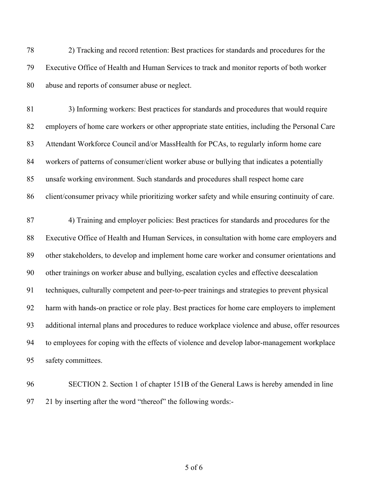2) Tracking and record retention: Best practices for standards and procedures for the Executive Office of Health and Human Services to track and monitor reports of both worker abuse and reports of consumer abuse or neglect.

 3) Informing workers: Best practices for standards and procedures that would require employers of home care workers or other appropriate state entities, including the Personal Care Attendant Workforce Council and/or MassHealth for PCAs, to regularly inform home care workers of patterns of consumer/client worker abuse or bullying that indicates a potentially unsafe working environment. Such standards and procedures shall respect home care client/consumer privacy while prioritizing worker safety and while ensuring continuity of care.

 4) Training and employer policies: Best practices for standards and procedures for the Executive Office of Health and Human Services, in consultation with home care employers and other stakeholders, to develop and implement home care worker and consumer orientations and other trainings on worker abuse and bullying, escalation cycles and effective deescalation techniques, culturally competent and peer-to-peer trainings and strategies to prevent physical harm with hands-on practice or role play. Best practices for home care employers to implement additional internal plans and procedures to reduce workplace violence and abuse, offer resources to employees for coping with the effects of violence and develop labor-management workplace safety committees.

 SECTION 2. Section 1 of chapter 151B of the General Laws is hereby amended in line 21 by inserting after the word "thereof" the following words:-

of 6